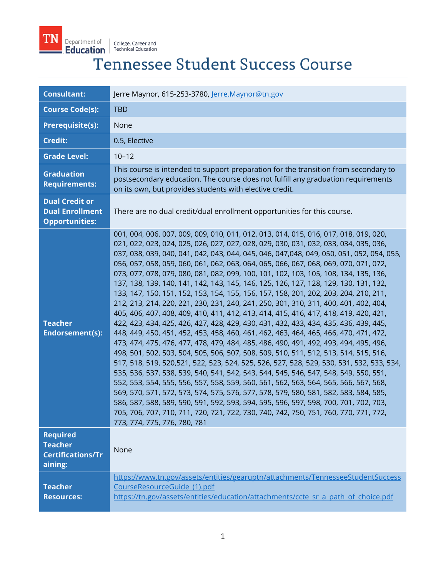

# TN Department of College, Career and<br>Education Technical Education<br>Tennessee Student Success Course

| <b>Consultant:</b>                                                       | Jerre Maynor, 615-253-3780, Jerre.Maynor@tn.gov                                                                                                                                                                                                                                                                                                                                                                                                                                                                                                                                                                                                                                                                                                                                                                                                                                                                                                                                                                                                                                                                                                                                                                                                                                                                                                                                                                                                                                                                                                                                                                                                                                                                                                                                |
|--------------------------------------------------------------------------|--------------------------------------------------------------------------------------------------------------------------------------------------------------------------------------------------------------------------------------------------------------------------------------------------------------------------------------------------------------------------------------------------------------------------------------------------------------------------------------------------------------------------------------------------------------------------------------------------------------------------------------------------------------------------------------------------------------------------------------------------------------------------------------------------------------------------------------------------------------------------------------------------------------------------------------------------------------------------------------------------------------------------------------------------------------------------------------------------------------------------------------------------------------------------------------------------------------------------------------------------------------------------------------------------------------------------------------------------------------------------------------------------------------------------------------------------------------------------------------------------------------------------------------------------------------------------------------------------------------------------------------------------------------------------------------------------------------------------------------------------------------------------------|
| <b>Course Code(s):</b>                                                   | <b>TBD</b>                                                                                                                                                                                                                                                                                                                                                                                                                                                                                                                                                                                                                                                                                                                                                                                                                                                                                                                                                                                                                                                                                                                                                                                                                                                                                                                                                                                                                                                                                                                                                                                                                                                                                                                                                                     |
| <b>Prerequisite(s):</b>                                                  | None                                                                                                                                                                                                                                                                                                                                                                                                                                                                                                                                                                                                                                                                                                                                                                                                                                                                                                                                                                                                                                                                                                                                                                                                                                                                                                                                                                                                                                                                                                                                                                                                                                                                                                                                                                           |
| <b>Credit:</b>                                                           | 0.5, Elective                                                                                                                                                                                                                                                                                                                                                                                                                                                                                                                                                                                                                                                                                                                                                                                                                                                                                                                                                                                                                                                                                                                                                                                                                                                                                                                                                                                                                                                                                                                                                                                                                                                                                                                                                                  |
| <b>Grade Level:</b>                                                      | $10 - 12$                                                                                                                                                                                                                                                                                                                                                                                                                                                                                                                                                                                                                                                                                                                                                                                                                                                                                                                                                                                                                                                                                                                                                                                                                                                                                                                                                                                                                                                                                                                                                                                                                                                                                                                                                                      |
| <b>Graduation</b><br><b>Requirements:</b>                                | This course is intended to support preparation for the transition from secondary to<br>postsecondary education. The course does not fulfill any graduation requirements<br>on its own, but provides students with elective credit.                                                                                                                                                                                                                                                                                                                                                                                                                                                                                                                                                                                                                                                                                                                                                                                                                                                                                                                                                                                                                                                                                                                                                                                                                                                                                                                                                                                                                                                                                                                                             |
| <b>Dual Credit or</b><br><b>Dual Enrollment</b><br><b>Opportunities:</b> | There are no dual credit/dual enrollment opportunities for this course.                                                                                                                                                                                                                                                                                                                                                                                                                                                                                                                                                                                                                                                                                                                                                                                                                                                                                                                                                                                                                                                                                                                                                                                                                                                                                                                                                                                                                                                                                                                                                                                                                                                                                                        |
| <b>Teacher</b><br><b>Endorsement(s):</b>                                 | 001, 004, 006, 007, 009, 009, 010, 011, 012, 013, 014, 015, 016, 017, 018, 019, 020,<br>021, 022, 023, 024, 025, 026, 027, 027, 028, 029, 030, 031, 032, 033, 034, 035, 036,<br>037, 038, 039, 040, 041, 042, 043, 044, 045, 046, 047, 048, 049, 050, 051, 052, 054, 055,<br>056, 057, 058, 059, 060, 061, 062, 063, 064, 065, 066, 067, 068, 069, 070, 071, 072,<br>073, 077, 078, 079, 080, 081, 082, 099, 100, 101, 102, 103, 105, 108, 134, 135, 136,<br>137, 138, 139, 140, 141, 142, 143, 145, 146, 125, 126, 127, 128, 129, 130, 131, 132,<br>133, 147, 150, 151, 152, 153, 154, 155, 156, 157, 158, 201, 202, 203, 204, 210, 211,<br>212, 213, 214, 220, 221, 230, 231, 240, 241, 250, 301, 310, 311, 400, 401, 402, 404,<br>405, 406, 407, 408, 409, 410, 411, 412, 413, 414, 415, 416, 417, 418, 419, 420, 421,<br>422, 423, 434, 425, 426, 427, 428, 429, 430, 431, 432, 433, 434, 435, 436, 439, 445,<br>448, 449, 450, 451, 452, 453, 458, 460, 461, 462, 463, 464, 465, 466, 470, 471, 472,<br>473, 474, 475, 476, 477, 478, 479, 484, 485, 486, 490, 491, 492, 493, 494, 495, 496,<br>498, 501, 502, 503, 504, 505, 506, 507, 508, 509, 510, 511, 512, 513, 514, 515, 516,<br>517, 518, 519, 520, 521, 522, 523, 524, 525, 526, 527, 528, 529, 530, 531, 532, 533, 534,<br>535, 536, 537, 538, 539, 540, 541, 542, 543, 544, 545, 546, 547, 548, 549, 550, 551,<br>552, 553, 554, 555, 556, 557, 558, 559, 560, 561, 562, 563, 564, 565, 566, 567, 568,<br>569, 570, 571, 572, 573, 574, 575, 576, 577, 578, 579, 580, 581, 582, 583, 584, 585,<br>586, 587, 588, 589, 590, 591, 592, 593, 594, 595, 596, 597, 598, 700, 701, 702, 703,<br>705, 706, 707, 710, 711, 720, 721, 722, 730, 740, 742, 750, 751, 760, 770, 771, 772,<br>773, 774, 775, 776, 780, 781 |
| <b>Required</b><br><b>Teacher</b><br><b>Certifications/Tr</b><br>aining: | None                                                                                                                                                                                                                                                                                                                                                                                                                                                                                                                                                                                                                                                                                                                                                                                                                                                                                                                                                                                                                                                                                                                                                                                                                                                                                                                                                                                                                                                                                                                                                                                                                                                                                                                                                                           |
| <b>Teacher</b><br><b>Resources:</b>                                      | https://www.tn.gov/assets/entities/gearuptn/attachments/TennesseeStudentSuccess<br>CourseResourceGuide (1).pdf<br>https://tn.gov/assets/entities/education/attachments/ccte_sr_a_path_of_choice.pdf                                                                                                                                                                                                                                                                                                                                                                                                                                                                                                                                                                                                                                                                                                                                                                                                                                                                                                                                                                                                                                                                                                                                                                                                                                                                                                                                                                                                                                                                                                                                                                            |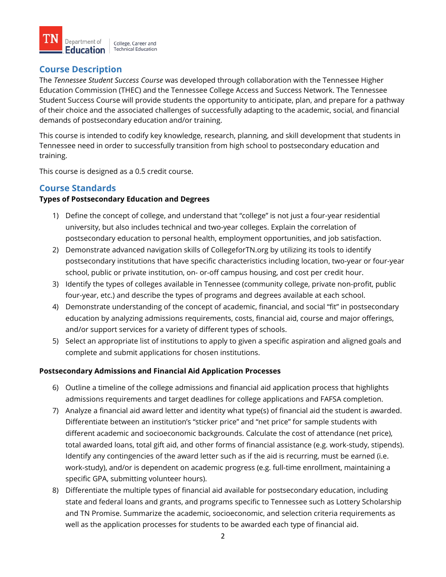

## **Course Description**

The *Tennessee Student Success Course* was developed through collaboration with the Tennessee Higher Education Commission (THEC) and the Tennessee College Access and Success Network. The Tennessee Student Success Course will provide students the opportunity to anticipate, plan, and prepare for a pathway of their choice and the associated challenges of successfully adapting to the academic, social, and financial demands of postsecondary education and/or training.

This course is intended to codify key knowledge, research, planning, and skill development that students in Tennessee need in order to successfully transition from high school to postsecondary education and training.

This course is designed as a 0.5 credit course.

## **Course Standards**

#### **Types of Postsecondary Education and Degrees**

- 1) Define the concept of college, and understand that "college" is not just a four-year residential university, but also includes technical and two-year colleges. Explain the correlation of postsecondary education to personal health, employment opportunities, and job satisfaction.
- 2) Demonstrate advanced navigation skills of CollegeforTN.org by utilizing its tools to identify postsecondary institutions that have specific characteristics including location, two-year or four-year school, public or private institution, on- or-off campus housing, and cost per credit hour.
- 3) Identify the types of colleges available in Tennessee (community college, private non-profit, public four-year, etc.) and describe the types of programs and degrees available at each school.
- 4) Demonstrate understanding of the concept of academic, financial, and social "fit" in postsecondary education by analyzing admissions requirements, costs, financial aid, course and major offerings, and/or support services for a variety of different types of schools.
- 5) Select an appropriate list of institutions to apply to given a specific aspiration and aligned goals and complete and submit applications for chosen institutions.

#### **Postsecondary Admissions and Financial Aid Application Processes**

- 6) Outline a timeline of the college admissions and financial aid application process that highlights admissions requirements and target deadlines for college applications and FAFSA completion.
- 7) Analyze a financial aid award letter and identity what type(s) of financial aid the student is awarded. Differentiate between an institution's "sticker price" and "net price" for sample students with different academic and socioeconomic backgrounds. Calculate the cost of attendance (net price), total awarded loans, total gift aid, and other forms of financial assistance (e.g. work-study, stipends). Identify any contingencies of the award letter such as if the aid is recurring, must be earned (i.e. work-study), and/or is dependent on academic progress (e.g. full-time enrollment, maintaining a specific GPA, submitting volunteer hours).
- 8) Differentiate the multiple types of financial aid available for postsecondary education, including state and federal loans and grants, and programs specific to Tennessee such as Lottery Scholarship and TN Promise. Summarize the academic, socioeconomic, and selection criteria requirements as well as the application processes for students to be awarded each type of financial aid.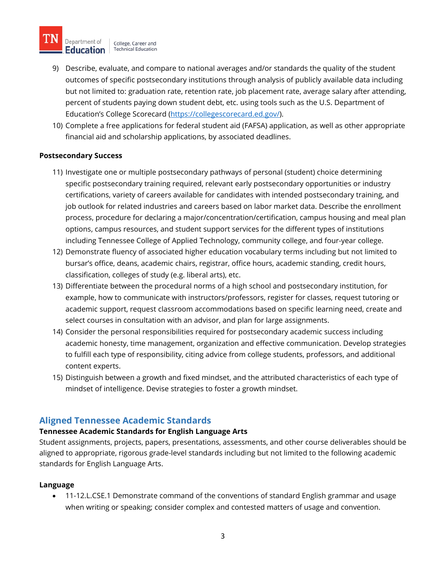

- 9) Describe, evaluate, and compare to national averages and/or standards the quality of the student outcomes of specific postsecondary institutions through analysis of publicly available data including but not limited to: graduation rate, retention rate, job placement rate, average salary after attending, percent of students paying down student debt, etc. using tools such as the U.S. Department of Education's College Scorecard [\(https://collegescorecard.ed.gov/\)](https://collegescorecard.ed.gov/).
- 10) Complete a free applications for federal student aid (FAFSA) application, as well as other appropriate financial aid and scholarship applications, by associated deadlines.

#### **Postsecondary Success**

- 11) Investigate one or multiple postsecondary pathways of personal (student) choice determining specific postsecondary training required, relevant early postsecondary opportunities or industry certifications, variety of careers available for candidates with intended postsecondary training, and job outlook for related industries and careers based on labor market data. Describe the enrollment process, procedure for declaring a major/concentration/certification, campus housing and meal plan options, campus resources, and student support services for the different types of institutions including Tennessee College of Applied Technology, community college, and four-year college.
- 12) Demonstrate fluency of associated higher education vocabulary terms including but not limited to bursar's office, deans, academic chairs, registrar, office hours, academic standing, credit hours, classification, colleges of study (e.g. liberal arts), etc.
- 13) Differentiate between the procedural norms of a high school and postsecondary institution, for example, how to communicate with instructors/professors, register for classes, request tutoring or academic support, request classroom accommodations based on specific learning need, create and select courses in consultation with an advisor, and plan for large assignments.
- 14) Consider the personal responsibilities required for postsecondary academic success including academic honesty, time management, organization and effective communication. Develop strategies to fulfill each type of responsibility, citing advice from college students, professors, and additional content experts.
- 15) Distinguish between a growth and fixed mindset, and the attributed characteristics of each type of mindset of intelligence. Devise strategies to foster a growth mindset.

# **Aligned Tennessee Academic Standards**

## **Tennessee Academic Standards for English Language Arts**

Student assignments, projects, papers, presentations, assessments, and other course deliverables should be aligned to appropriate, rigorous grade-level standards including but not limited to the following academic standards for English Language Arts.

#### **Language**

• 11-12.L.CSE.1 Demonstrate command of the conventions of standard English grammar and usage when writing or speaking; consider complex and contested matters of usage and convention.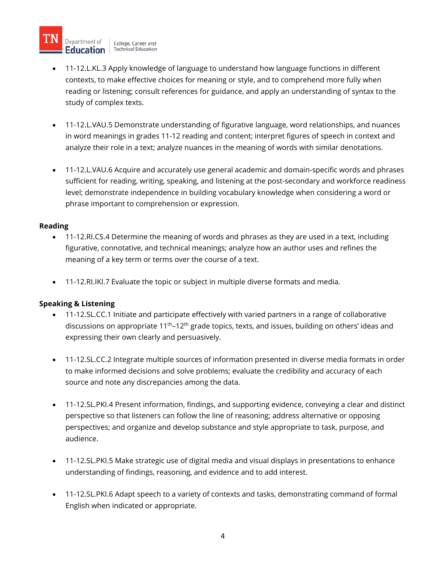Department of College, Career and **Education** Fechnical Education

- 11-12.L.KL.3 Apply knowledge of language to understand how language functions in different contexts, to make effective choices for meaning or style, and to comprehend more fully when reading or listening; consult references for guidance, and apply an understanding of syntax to the study of complex texts.
- 11-12.L.VAU.5 Demonstrate understanding of figurative language, word relationships, and nuances in word meanings in grades 11-12 reading and content; interpret figures of speech in context and analyze their role in a text; analyze nuances in the meaning of words with similar denotations.
- 11-12.L.VAU.6 Acquire and accurately use general academic and domain-specific words and phrases sufficient for reading, writing, speaking, and listening at the post-secondary and workforce readiness level; demonstrate independence in building vocabulary knowledge when considering a word or phrase important to comprehension or expression.

#### **Reading**

- 11-12.RI.CS.4 Determine the meaning of words and phrases as they are used in a text, including figurative, connotative, and technical meanings; analyze how an author uses and refines the meaning of a key term or terms over the course of a text.
- 11-12.RI.IKI.7 Evaluate the topic or subject in multiple diverse formats and media.

## **Speaking & Listening**

- 11-12.SL.CC.1 Initiate and participate effectively with varied partners in a range of collaborative discussions on appropriate 11<sup>th</sup>-12<sup>th</sup> grade topics, texts, and issues, building on others' ideas and expressing their own clearly and persuasively.
- 11-12.SL.CC.2 Integrate multiple sources of information presented in diverse media formats in order to make informed decisions and solve problems; evaluate the credibility and accuracy of each source and note any discrepancies among the data.
- 11-12.SL.PKI.4 Present information, findings, and supporting evidence, conveying a clear and distinct perspective so that listeners can follow the line of reasoning; address alternative or opposing perspectives; and organize and develop substance and style appropriate to task, purpose, and audience.
- 11-12.SL.PKI.5 Make strategic use of digital media and visual displays in presentations to enhance understanding of findings, reasoning, and evidence and to add interest.
- 11-12.SL.PKI.6 Adapt speech to a variety of contexts and tasks, demonstrating command of formal English when indicated or appropriate.